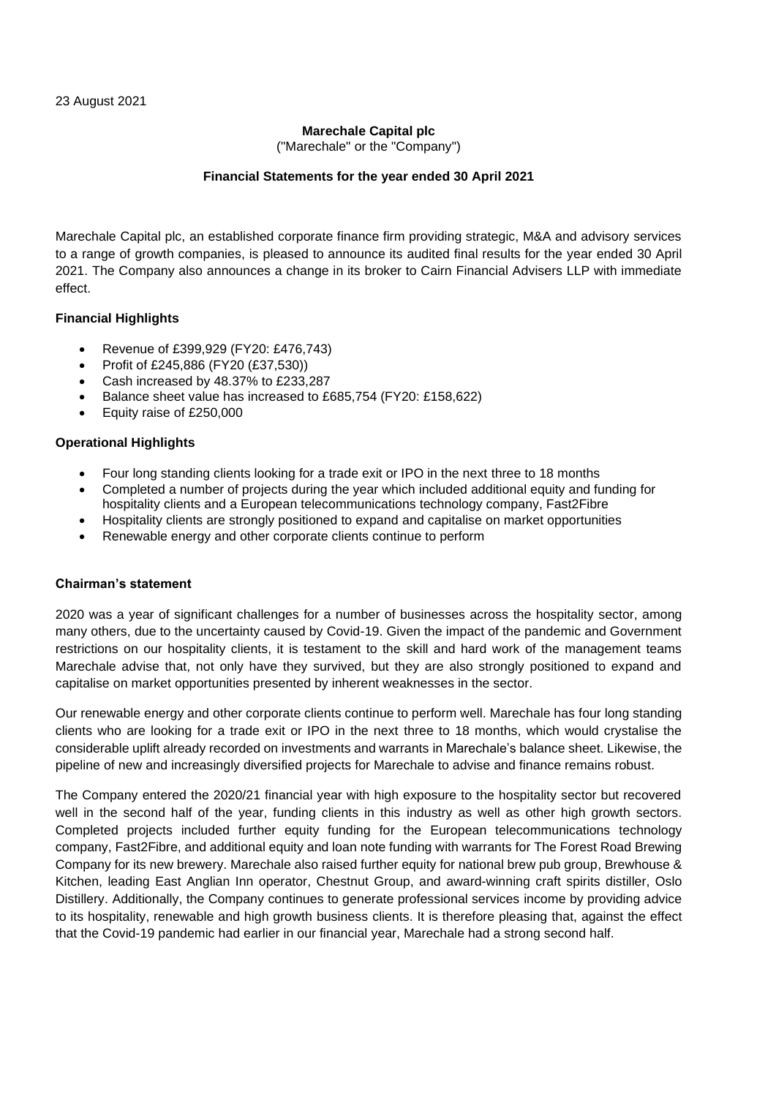# **Marechale Capital plc**

("Marechale" or the "Company")

# **Financial Statements for the year ended 30 April 2021**

Marechale Capital plc, an established corporate finance firm providing strategic, M&A and advisory services to a range of growth companies, is pleased to announce its audited final results for the year ended 30 April 2021. The Company also announces a change in its broker to Cairn Financial Advisers LLP with immediate effect.

# **Financial Highlights**

- Revenue of £399,929 (FY20: £476,743)
- Profit of £245,886 (FY20 (£37,530))
- Cash increased by 48.37% to £233,287
- Balance sheet value has increased to £685,754 (FY20: £158,622)
- Equity raise of £250,000

# **Operational Highlights**

- Four long standing clients looking for a trade exit or IPO in the next three to 18 months
- Completed a number of projects during the year which included additional equity and funding for hospitality clients and a European telecommunications technology company, Fast2Fibre
- Hospitality clients are strongly positioned to expand and capitalise on market opportunities
- Renewable energy and other corporate clients continue to perform

# **Chairman's statement**

2020 was a year of significant challenges for a number of businesses across the hospitality sector, among many others, due to the uncertainty caused by Covid-19. Given the impact of the pandemic and Government restrictions on our hospitality clients, it is testament to the skill and hard work of the management teams Marechale advise that, not only have they survived, but they are also strongly positioned to expand and capitalise on market opportunities presented by inherent weaknesses in the sector.

Our renewable energy and other corporate clients continue to perform well. Marechale has four long standing clients who are looking for a trade exit or IPO in the next three to 18 months, which would crystalise the considerable uplift already recorded on investments and warrants in Marechale's balance sheet. Likewise, the pipeline of new and increasingly diversified projects for Marechale to advise and finance remains robust.

The Company entered the 2020/21 financial year with high exposure to the hospitality sector but recovered well in the second half of the year, funding clients in this industry as well as other high growth sectors. Completed projects included further equity funding for the European telecommunications technology company, Fast2Fibre, and additional equity and loan note funding with warrants for The Forest Road Brewing Company for its new brewery. Marechale also raised further equity for national brew pub group, Brewhouse & Kitchen, leading East Anglian Inn operator, Chestnut Group, and award-winning craft spirits distiller, Oslo Distillery. Additionally, the Company continues to generate professional services income by providing advice to its hospitality, renewable and high growth business clients. It is therefore pleasing that, against the effect that the Covid-19 pandemic had earlier in our financial year, Marechale had a strong second half.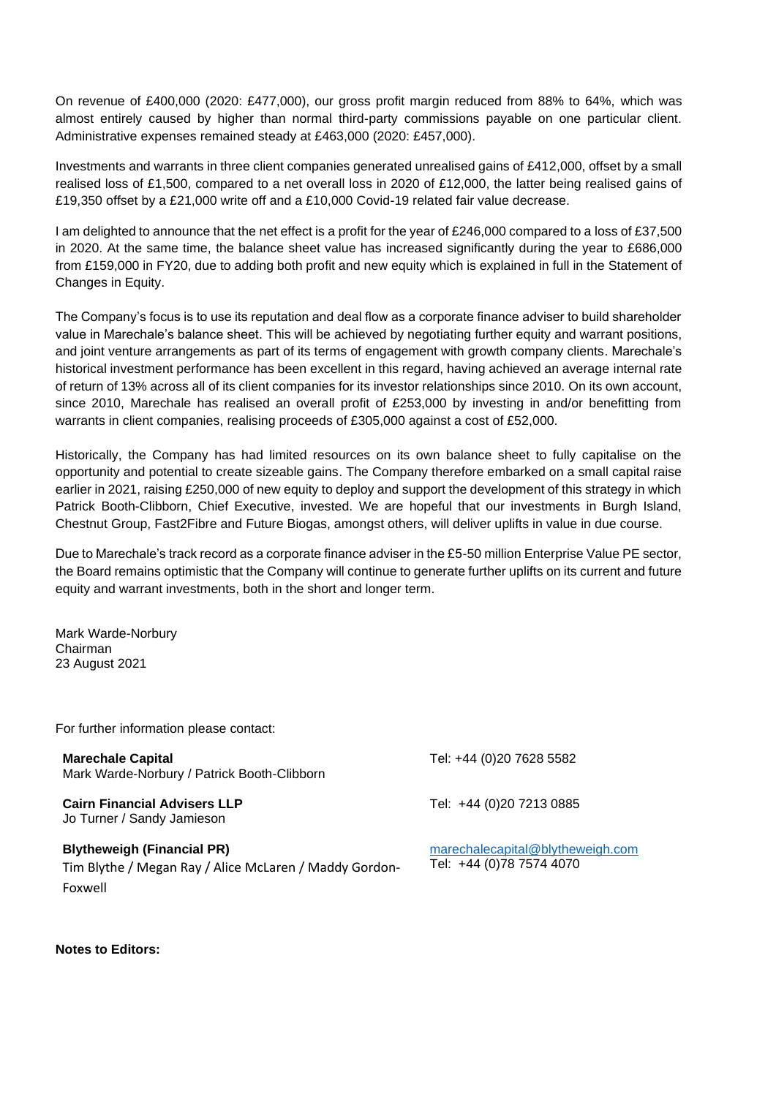On revenue of £400,000 (2020: £477,000), our gross profit margin reduced from 88% to 64%, which was almost entirely caused by higher than normal third-party commissions payable on one particular client. Administrative expenses remained steady at £463,000 (2020: £457,000).

Investments and warrants in three client companies generated unrealised gains of £412,000, offset by a small realised loss of £1,500, compared to a net overall loss in 2020 of £12,000, the latter being realised gains of £19,350 offset by a £21,000 write off and a £10,000 Covid-19 related fair value decrease.

I am delighted to announce that the net effect is a profit for the year of £246,000 compared to a loss of £37,500 in 2020. At the same time, the balance sheet value has increased significantly during the year to £686,000 from £159,000 in FY20, due to adding both profit and new equity which is explained in full in the Statement of Changes in Equity.

The Company's focus is to use its reputation and deal flow as a corporate finance adviser to build shareholder value in Marechale's balance sheet. This will be achieved by negotiating further equity and warrant positions, and joint venture arrangements as part of its terms of engagement with growth company clients. Marechale's historical investment performance has been excellent in this regard, having achieved an average internal rate of return of 13% across all of its client companies for its investor relationships since 2010. On its own account, since 2010, Marechale has realised an overall profit of £253,000 by investing in and/or benefitting from warrants in client companies, realising proceeds of £305,000 against a cost of £52,000.

Historically, the Company has had limited resources on its own balance sheet to fully capitalise on the opportunity and potential to create sizeable gains. The Company therefore embarked on a small capital raise earlier in 2021, raising £250,000 of new equity to deploy and support the development of this strategy in which Patrick Booth-Clibborn, Chief Executive, invested. We are hopeful that our investments in Burgh Island, Chestnut Group, Fast2Fibre and Future Biogas, amongst others, will deliver uplifts in value in due course.

Due to Marechale's track record as a corporate finance adviser in the £5-50 million Enterprise Value PE sector, the Board remains optimistic that the Company will continue to generate further uplifts on its current and future equity and warrant investments, both in the short and longer term.

Mark Warde-Norbury Chairman 23 August 2021

For further information please contact:

**Marechale Capital** Mark Warde-Norbury / Patrick Booth-Clibborn

**Cairn Financial Advisers LLP** Jo Turner / Sandy Jamieson

**Blytheweigh (Financial PR)** Tim Blythe / Megan Ray / Alice McLaren / Maddy Gordon-Foxwell

Tel: +44 (0)20 7628 5582

Tel: [+44 \(0\)20 7213 0885](tel:+44%2020%207213%200885)

[marechalecapital@blytheweigh.com](mailto:marechalecapital@blytheweigh.com) Tel: +44 (0)78 7574 4070

**Notes to Editors:**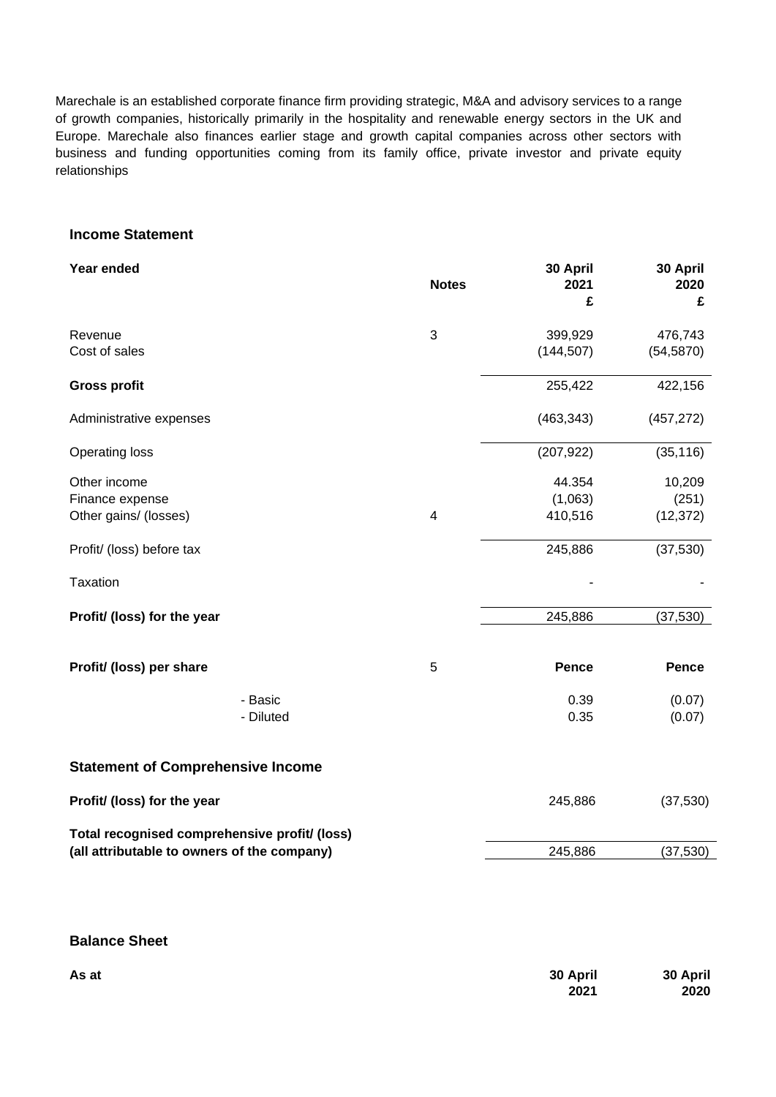Marechale is an established corporate finance firm providing strategic, M&A and advisory services to a range of growth companies, historically primarily in the hospitality and renewable energy sectors in the UK and Europe. Marechale also finances earlier stage and growth capital companies across other sectors with business and funding opportunities coming from its family office, private investor and private equity relationships

#### **Income Statement**

| Year ended                                                                                   | <b>Notes</b>   | 30 April<br>2021<br>£        | 30 April<br>2020<br>£        |
|----------------------------------------------------------------------------------------------|----------------|------------------------------|------------------------------|
| Revenue<br>Cost of sales                                                                     | 3              | 399,929<br>(144, 507)        | 476,743<br>(54, 5870)        |
| <b>Gross profit</b>                                                                          |                | 255,422                      | 422,156                      |
| Administrative expenses                                                                      |                | (463, 343)                   | (457, 272)                   |
| <b>Operating loss</b>                                                                        |                | (207, 922)                   | (35, 116)                    |
| Other income<br>Finance expense<br>Other gains/ (losses)                                     | $\overline{4}$ | 44.354<br>(1,063)<br>410,516 | 10,209<br>(251)<br>(12, 372) |
| Profit/ (loss) before tax                                                                    |                | 245,886                      | (37,530)                     |
| Taxation                                                                                     |                |                              |                              |
| Profit/ (loss) for the year                                                                  |                | 245,886                      | (37, 530)                    |
| Profit/ (loss) per share                                                                     | 5              | Pence                        | <b>Pence</b>                 |
| - Basic<br>- Diluted                                                                         |                | 0.39<br>0.35                 | (0.07)<br>(0.07)             |
| <b>Statement of Comprehensive Income</b>                                                     |                |                              |                              |
| Profit/ (loss) for the year                                                                  |                | 245,886                      | (37,530)                     |
| Total recognised comprehensive profit/ (loss)<br>(all attributable to owners of the company) |                | 245,886                      | (37,530)                     |

# **Balance Sheet**

| As at | 30 April | 30 April |
|-------|----------|----------|
|       | 2021     | 2020     |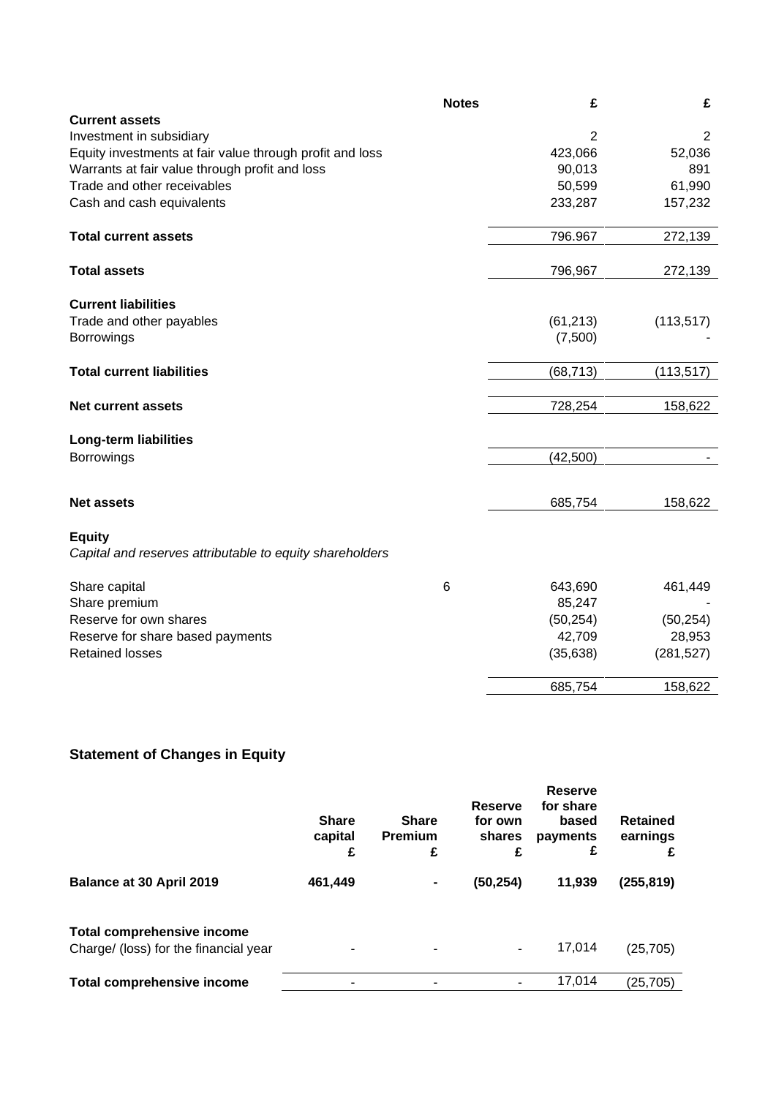|                                                          | <b>Notes</b> | £              | £              |
|----------------------------------------------------------|--------------|----------------|----------------|
| <b>Current assets</b>                                    |              |                |                |
| Investment in subsidiary                                 |              | $\overline{2}$ | $\overline{2}$ |
| Equity investments at fair value through profit and loss |              | 423,066        | 52,036         |
| Warrants at fair value through profit and loss           |              | 90,013         | 891            |
| Trade and other receivables                              |              | 50,599         | 61,990         |
| Cash and cash equivalents                                |              | 233,287        | 157,232        |
| <b>Total current assets</b>                              |              | 796.967        | 272,139        |
| <b>Total assets</b>                                      |              | 796,967        | 272,139        |
| <b>Current liabilities</b>                               |              |                |                |
| Trade and other payables                                 |              | (61, 213)      | (113, 517)     |
| <b>Borrowings</b>                                        |              | (7,500)        |                |
|                                                          |              |                |                |
| <b>Total current liabilities</b>                         |              | (68, 713)      | (113, 517)     |
| <b>Net current assets</b>                                |              | 728,254        | 158,622        |
|                                                          |              |                |                |
| <b>Long-term liabilities</b>                             |              |                |                |
| <b>Borrowings</b>                                        |              | (42,500)       |                |
|                                                          |              |                |                |
| <b>Net assets</b>                                        |              | 685,754        | 158,622        |
| <b>Equity</b>                                            |              |                |                |
| Capital and reserves attributable to equity shareholders |              |                |                |
| Share capital                                            | 6            | 643,690        | 461,449        |
| Share premium                                            |              | 85,247         |                |
| Reserve for own shares                                   |              | (50, 254)      | (50, 254)      |
| Reserve for share based payments                         |              | 42,709         | 28,953         |
| <b>Retained losses</b>                                   |              | (35, 638)      | (281, 527)     |
|                                                          |              | 685,754        | 158,622        |

# **Statement of Changes in Equity**

|                                                                            | <b>Share</b><br>capital<br>£ | <b>Share</b><br><b>Premium</b><br>£ | <b>Reserve</b><br>for own<br>shares<br>£ | <b>Reserve</b><br>for share<br>based<br>payments<br>£ | <b>Retained</b><br>earnings<br>£ |
|----------------------------------------------------------------------------|------------------------------|-------------------------------------|------------------------------------------|-------------------------------------------------------|----------------------------------|
| Balance at 30 April 2019                                                   | 461,449                      | $\blacksquare$                      | (50, 254)                                | 11,939                                                | (255, 819)                       |
| <b>Total comprehensive income</b><br>Charge/ (loss) for the financial year |                              |                                     |                                          | 17,014                                                | (25, 705)                        |
| <b>Total comprehensive income</b>                                          |                              |                                     |                                          | 17,014                                                | (25,705)                         |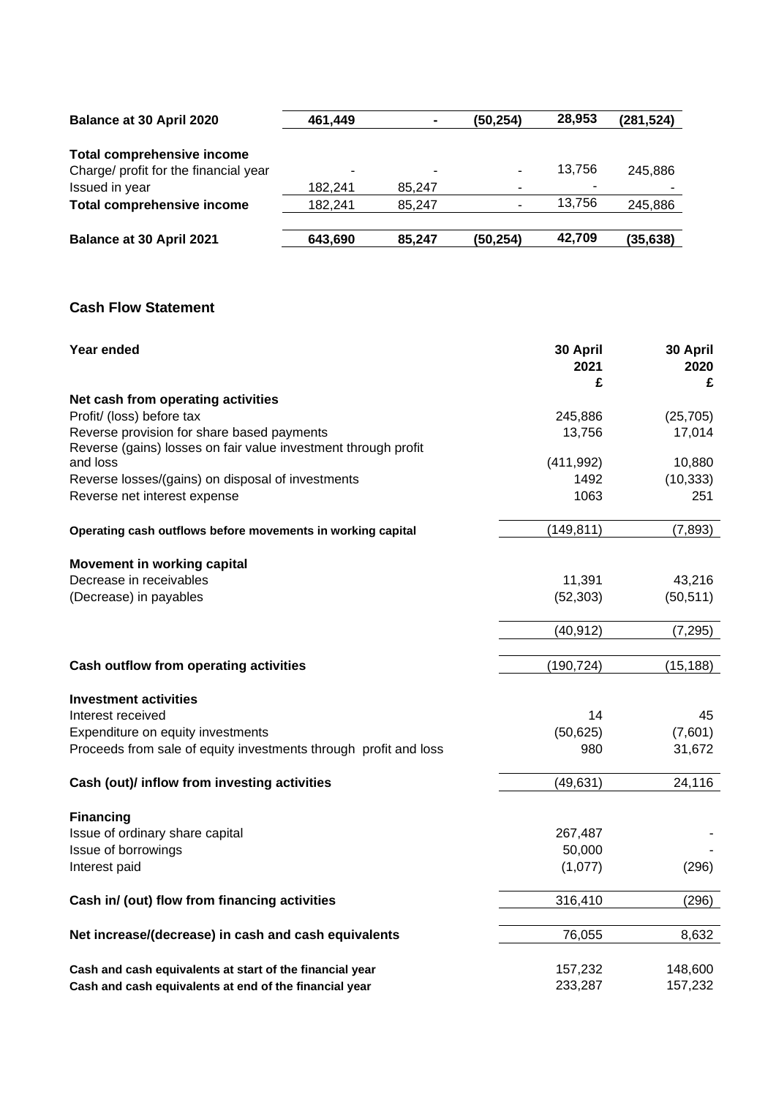| Balance at 30 April 2020              | 461,449 | $\blacksquare$ | (50, 254) | 28,953 | (281, 524) |
|---------------------------------------|---------|----------------|-----------|--------|------------|
| <b>Total comprehensive income</b>     |         |                |           |        |            |
| Charge/ profit for the financial year | ٠       | ٠              |           | 13.756 | 245.886    |
| Issued in year                        | 182.241 | 85.247         | -         |        |            |
| <b>Total comprehensive income</b>     | 182,241 | 85.247         |           | 13.756 | 245,886    |
| Balance at 30 April 2021              | 643,690 | 85.247         | (50, 254) | 42,709 | (35, 638)  |

# **Cash Flow Statement**

| Year ended                                                       | 30 April<br>2021<br>£ | 30 April<br>2020<br>£ |
|------------------------------------------------------------------|-----------------------|-----------------------|
| Net cash from operating activities                               |                       |                       |
| Profit/ (loss) before tax                                        | 245,886               | (25, 705)             |
| Reverse provision for share based payments                       | 13,756                | 17,014                |
| Reverse (gains) losses on fair value investment through profit   |                       |                       |
| and loss                                                         | (411, 992)            | 10,880                |
| Reverse losses/(gains) on disposal of investments                | 1492                  | (10, 333)             |
| Reverse net interest expense                                     | 1063                  | 251                   |
| Operating cash outflows before movements in working capital      | (149, 811)            | (7, 893)              |
| Movement in working capital                                      |                       |                       |
| Decrease in receivables                                          | 11,391                | 43,216                |
| (Decrease) in payables                                           | (52, 303)             | (50, 511)             |
|                                                                  | (40, 912)             | (7, 295)              |
| Cash outflow from operating activities                           | (190, 724)            | (15, 188)             |
|                                                                  |                       |                       |
| <b>Investment activities</b>                                     |                       |                       |
| Interest received                                                | 14                    | 45                    |
| Expenditure on equity investments                                | (50, 625)             | (7,601)               |
| Proceeds from sale of equity investments through profit and loss | 980                   | 31,672                |
| Cash (out)/ inflow from investing activities                     | (49, 631)             | 24,116                |
| <b>Financing</b>                                                 |                       |                       |
| Issue of ordinary share capital                                  | 267,487               |                       |
| Issue of borrowings                                              | 50,000                |                       |
| Interest paid                                                    | (1,077)               | (296)                 |
| Cash in/ (out) flow from financing activities                    | 316,410               | (296)                 |
|                                                                  |                       |                       |
| Net increase/(decrease) in cash and cash equivalents             | 76,055                | 8,632                 |
| Cash and cash equivalents at start of the financial year         | 157,232               | 148,600               |
| Cash and cash equivalents at end of the financial year           | 233,287               | 157,232               |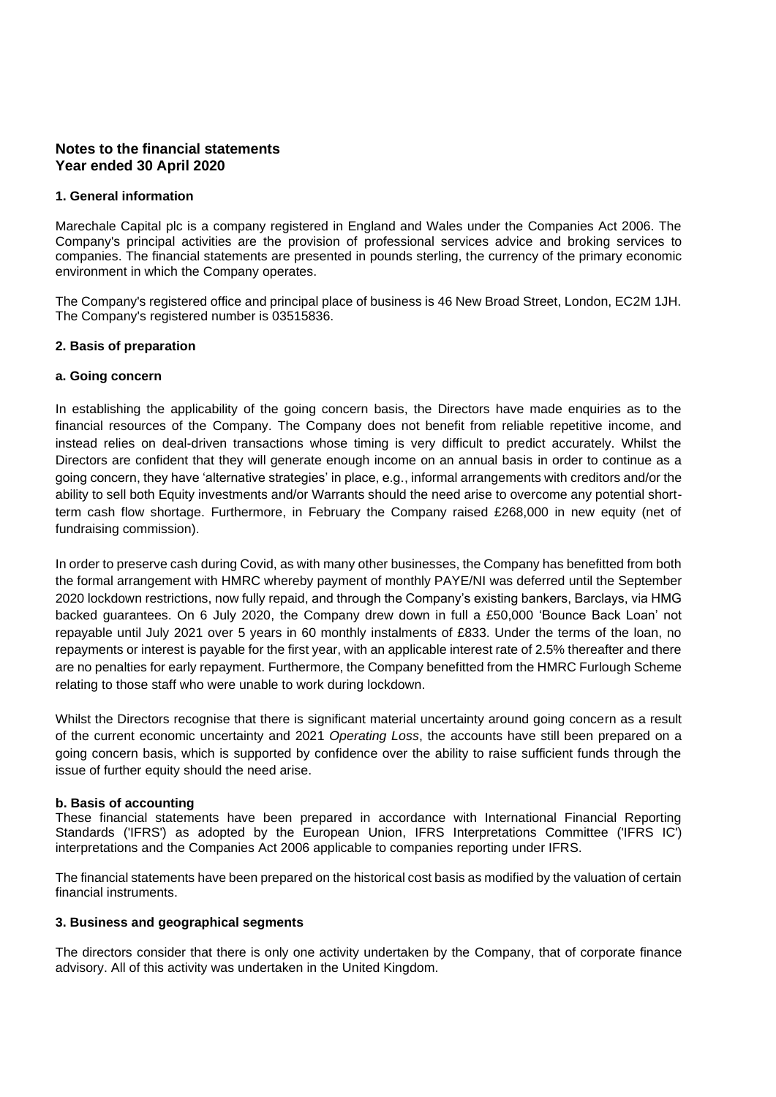# **Notes to the financial statements Year ended 30 April 2020**

#### **1. General information**

Marechale Capital plc is a company registered in England and Wales under the Companies Act 2006. The Company's principal activities are the provision of professional services advice and broking services to companies. The financial statements are presented in pounds sterling, the currency of the primary economic environment in which the Company operates.

The Company's registered office and principal place of business is 46 New Broad Street, London, EC2M 1JH. The Company's registered number is 03515836.

#### **2. Basis of preparation**

#### **a. Going concern**

In establishing the applicability of the going concern basis, the Directors have made enquiries as to the financial resources of the Company. The Company does not benefit from reliable repetitive income, and instead relies on deal-driven transactions whose timing is very difficult to predict accurately. Whilst the Directors are confident that they will generate enough income on an annual basis in order to continue as a going concern, they have 'alternative strategies' in place, e.g., informal arrangements with creditors and/or the ability to sell both Equity investments and/or Warrants should the need arise to overcome any potential shortterm cash flow shortage. Furthermore, in February the Company raised £268,000 in new equity (net of fundraising commission).

In order to preserve cash during Covid, as with many other businesses, the Company has benefitted from both the formal arrangement with HMRC whereby payment of monthly PAYE/NI was deferred until the September 2020 lockdown restrictions, now fully repaid, and through the Company's existing bankers, Barclays, via HMG backed guarantees. On 6 July 2020, the Company drew down in full a £50,000 'Bounce Back Loan' not repayable until July 2021 over 5 years in 60 monthly instalments of £833. Under the terms of the loan, no repayments or interest is payable for the first year, with an applicable interest rate of 2.5% thereafter and there are no penalties for early repayment. Furthermore, the Company benefitted from the HMRC Furlough Scheme relating to those staff who were unable to work during lockdown.

Whilst the Directors recognise that there is significant material uncertainty around going concern as a result of the current economic uncertainty and 2021 *Operating Loss*, the accounts have still been prepared on a going concern basis, which is supported by confidence over the ability to raise sufficient funds through the issue of further equity should the need arise.

#### **b. Basis of accounting**

These financial statements have been prepared in accordance with International Financial Reporting Standards ('IFRS') as adopted by the European Union, IFRS Interpretations Committee ('IFRS IC') interpretations and the Companies Act 2006 applicable to companies reporting under IFRS.

The financial statements have been prepared on the historical cost basis as modified by the valuation of certain financial instruments.

#### **3. Business and geographical segments**

The directors consider that there is only one activity undertaken by the Company, that of corporate finance advisory. All of this activity was undertaken in the United Kingdom.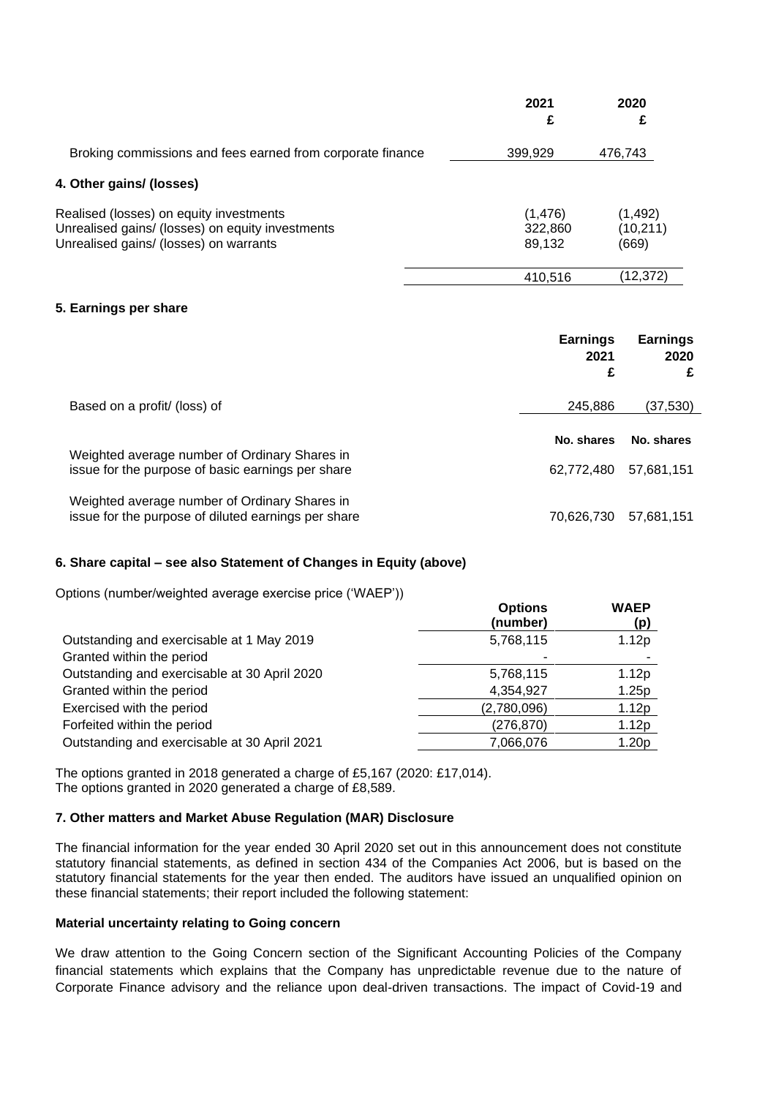|                                                                                                                                       | 2021<br>£                     | 2020<br>£                      |
|---------------------------------------------------------------------------------------------------------------------------------------|-------------------------------|--------------------------------|
| Broking commissions and fees earned from corporate finance                                                                            | 399,929                       | 476,743                        |
| 4. Other gains/ (losses)                                                                                                              |                               |                                |
| Realised (losses) on equity investments<br>Unrealised gains/ (losses) on equity investments<br>Unrealised gains/ (losses) on warrants | (1, 476)<br>322,860<br>89,132 | (1, 492)<br>(10, 211)<br>(669) |
|                                                                                                                                       | 410,516                       | (12,372)                       |

# **5. Earnings per share**

|                                                                                                      | <b>Earnings</b><br>2021<br>£ | <b>Earnings</b><br>2020<br>£ |
|------------------------------------------------------------------------------------------------------|------------------------------|------------------------------|
| Based on a profit/ (loss) of                                                                         | 245,886                      | (37,530)                     |
| Weighted average number of Ordinary Shares in                                                        | No. shares                   | No. shares                   |
| issue for the purpose of basic earnings per share                                                    | 62.772.480                   | 57,681,151                   |
| Weighted average number of Ordinary Shares in<br>issue for the purpose of diluted earnings per share | 70.626.730                   | 57.681.151                   |

# **6. Share capital – see also Statement of Changes in Equity (above)**

Options (number/weighted average exercise price ('WAEP'))

| $\sigma$ prono (number) weighted average exercise price (with $\eta$ | <b>Options</b><br>(number) | <b>WAEP</b><br>(p) |
|----------------------------------------------------------------------|----------------------------|--------------------|
| Outstanding and exercisable at 1 May 2019                            | 5,768,115                  | 1.12p              |
| Granted within the period                                            |                            |                    |
| Outstanding and exercisable at 30 April 2020                         | 5,768,115                  | 1.12p              |
| Granted within the period                                            | 4,354,927                  | 1.25p              |
| Exercised with the period                                            | (2,780,096)                | 1.12p              |
| Forfeited within the period                                          | (276, 870)                 | 1.12p              |
| Outstanding and exercisable at 30 April 2021                         | 7,066,076                  | 1.20 <sub>p</sub>  |

The options granted in 2018 generated a charge of £5,167 (2020: £17,014). The options granted in 2020 generated a charge of £8,589.

# **7. Other matters and Market Abuse Regulation (MAR) Disclosure**

The financial information for the year ended 30 April 2020 set out in this announcement does not constitute statutory financial statements, as defined in section 434 of the Companies Act 2006, but is based on the statutory financial statements for the year then ended. The auditors have issued an unqualified opinion on these financial statements; their report included the following statement:

#### **Material uncertainty relating to Going concern**

We draw attention to the Going Concern section of the Significant Accounting Policies of the Company financial statements which explains that the Company has unpredictable revenue due to the nature of Corporate Finance advisory and the reliance upon deal-driven transactions. The impact of Covid-19 and